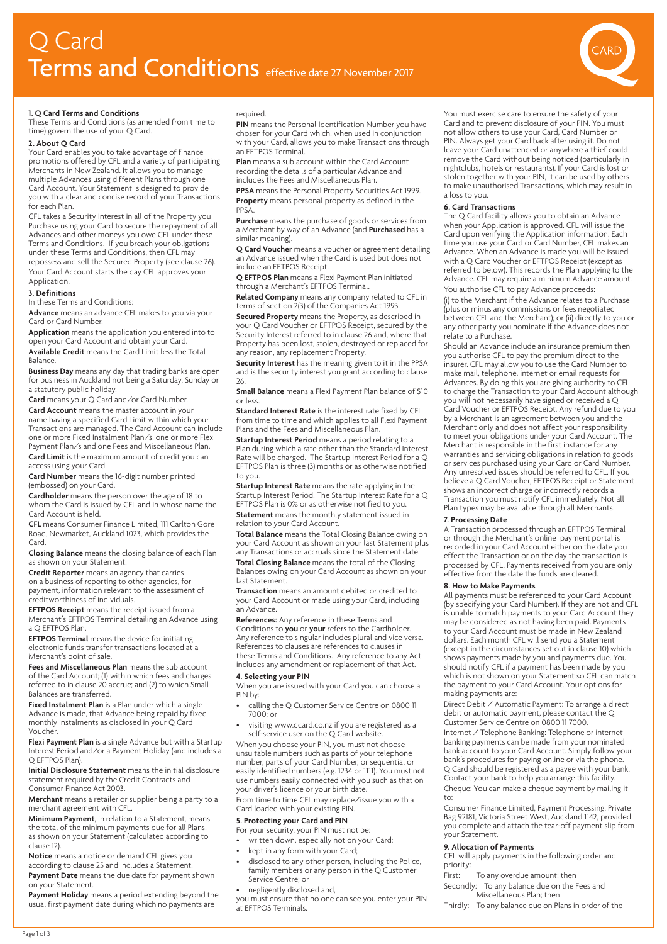

### **1. Q Card Terms and Conditions**

These Terms and Conditions (as amended from time to time) govern the use of your  $Q$  Card.

# **2. About Q Card**

Your Card enables you to take advantage of finance promotions offered by CFL and a variety of participating Merchants in New Zealand. It allows you to manage multiple Advances using different Plans through one Card Account. Your Statement is designed to provide you with a clear and concise record of your Transactions for each Plan.

CFL takes a Security Interest in all of the Property you Purchase using your Card to secure the repayment of all Advances and other moneys you owe CFL under these Terms and Conditions. If you breach your obligations under these Terms and Conditions, then CFL may repossess and sell the Secured Property (see clause 26). Your Card Account starts the day CFL approves your Application.

# **3. Definitions**

In these Terms and Conditions:

**Advance** means an advance CFL makes to you via your Card or Card Number.

**Application** means the application you entered into to open your Card Account and obtain your Card. **Available Credit** means the Card Limit less the Total

Balance.

**Business Day** means any day that trading banks are open for business in Auckland not being a Saturday, Sunday or a statutory public holiday.

**Card** means your Q Card and/or Card Number. **Card Account** means the master account in your name having a specified Card Limit within which your Transactions are managed. The Card Account can include one or more Fixed Instalment Plan/s, one or more Flexi Payment Plan/s and one Fees and Miscellaneous Plan.

**Card Limit** is the maximum amount of credit you can access using your Card.

**Card Number** means the 16-digit number printed (embossed) on your Card.

**Cardholder** means the person over the age of 18 to whom the Card is issued by CFL and in whose name the Card Account is held.

**CFL** means Consumer Finance Limited, 111 Carlton Gore Road, Newmarket, Auckland 1023, which provides the Card.

**Closing Balance** means the closing balance of each Plan as shown on your Statement.

**Credit Reporter** means an agency that carries on a business of reporting to other agencies, for payment, information relevant to the assessment of creditworthiness of individuals.

**EFTPOS Receipt** means the receipt issued from a Merchant's EFTPOS Terminal detailing an Advance using a Q EFTPOS Plan.

**EFTPOS Terminal** means the device for initiating electronic funds transfer transactions located at a Merchant's point of sale.

**Fees and Miscellaneous Plan** means the sub account of the Card Account; (1) within which fees and charges referred to in clause 20 accrue; and (2) to which Small Balances are transferred.

**Fixed Instalment Plan** is a Plan under which a single Advance is made, that Advance being repaid by fixed monthly instalments as disclosed in your Q Card Voucher.

**Flexi Payment Plan** is a single Advance but with a Startup Interest Period and/or a Payment Holiday (and includes a Q EFTPOS Plan).

**Initial Disclosure Statement** means the initial disclosure statement required by the Credit Contracts and Consumer Finance Act 2003.

**Merchant** means a retailer or supplier being a party to a merchant agreement with CFL.

**Minimum Payment**, in relation to a Statement, means the total of the minimum payments due for all Plans, as shown on your Statement (calculated according to clause 12).

**Notice** means a notice or demand CFL gives you according to clause 25 and includes a Statement. **Payment Date** means the due date for payment shown

on your Statement. **Payment Holiday** means a period extending beyond the

usual first payment date during which no payments are

required.

**PIN** means the Personal Identification Number you have chosen for your Card which, when used in conjunction with your Card, allows you to make Transactions through an EFTPOS Terminal.

**Plan** means a sub account within the Card Account recording the details of a particular Advance and includes the Fees and Miscellaneous Plan.

**PPSA** means the Personal Property Securities Act 1999. **Property** means personal property as defined in the PPSA.

**Purchase** means the purchase of goods or services from a Merchant by way of an Advance (and **Purchased** has a similar meaning).

**Q Card Voucher** means a voucher or agreement detailing an Advance issued when the Card is used but does not include an EFTPOS Receipt.

**Q EFTPOS Plan** means a Flexi Payment Plan initiated through a Merchant's EFTPOS Terminal.

**Related Company** means any company related to CFL in terms of section 2(3) of the Companies Act 1993.

**Secured Property** means the Property, as described in your Q Card Voucher or EFTPOS Receipt, secured by the Security Interest referred to in clause 26 and, where that Property has been lost, stolen, destroyed or replaced for any reason, any replacement Property.

**Security Interest** has the meaning given to it in the PPSA and is the security interest you grant according to clause 26.

**Small Balance** means a Flexi Payment Plan balance of \$10 or less.

**Standard Interest Rate** is the interest rate fixed by CFL from time to time and which applies to all Flexi Payment Plans and the Fees and Miscellaneous Plan.

**Startup Interest Period** means a period relating to a Plan during which a rate other than the Standard Interest Rate will be charged. The Startup Interest Period for a Q EFTPOS Plan is three (3) months or as otherwise notified to you.

**Startup Interest Rate** means the rate applying in the Startup Interest Period. The Startup Interest Rate for a Q EFTPOS Plan is 0% or as otherwise notified to you.

**Statement** means the monthly statement issued in relation to your Card Account.

**Total Balance** means the Total Closing Balance owing on your Card Account as shown on your last Statement plus any Transactions or accruals since the Statement date.

**Total Closing Balance** means the total of the Closing Balances owing on your Card Account as shown on your last Statement.

**Transaction** means an amount debited or credited to your Card Account or made using your Card, including an Advance.

**References:** Any reference in these Terms and Conditions to **you** or **your** refers to the Cardholder. Any reference to singular includes plural and vice versa. References to clauses are references to clauses in these Terms and Conditions. Any reference to any Act includes any amendment or replacement of that Act.

#### **4. Selecting your PIN**

When you are issued with your Card you can choose a PIN by:

- calling the Q Customer Service Centre on 0800 11 7000; or
- visiting www.qcard.co.nz if you are registered as a self-service user on the Q Card website.

When you choose your PIN, you must not choose unsuitable numbers such as parts of your telephone number, parts of your Card Number, or sequential or easily identified numbers (e.g. 1234 or 1111). You must not use numbers easily connected with you such as that on your driver's licence or your birth date.

From time to time CFL may replace/issue you with a Card loaded with your existing PIN.

# **5. Protecting your Card and PIN**

- For your security, your PIN must not be:
- written down, especially not on your Card;
- kept in any form with your Card;
- disclosed to any other person, including the Police, family members or any person in the Q Customer Service Centre; or
- negligently disclosed and,

you must ensure that no one can see you enter your PIN at EFTPOS Terminals.

You must exercise care to ensure the safety of your Card and to prevent disclosure of your PIN. You must not allow others to use your Card, Card Number or PIN. Always get your Card back after using it. Do not leave your Card unattended or anywhere a thief could remove the Card without being noticed (particularly in nightclubs, hotels or restaurants). If your Card is lost or stolen together with your PIN, it can be used by others to make unauthorised Transactions, which may result in a loss to you.

# **6. Card Transactions**

The Q Card facility allows you to obtain an Advance when your Application is approved. CFL will issue the Card upon verifying the Application information. Each time you use your Card or Card Number, CFL makes an Advance. When an Advance is made you will be issued with a Q Card Voucher or EFTPOS Receipt (except as referred to below). This records the Plan applying to the Advance. CFL may require a minimum Advance amount. You authorise CFL to pay Advance proceeds:

(i) to the Merchant if the Advance relates to a Purchase (plus or minus any commissions or fees negotiated between CFL and the Merchant); or (ii) directly to you or any other party you nominate if the Advance does not relate to a Purchase.

Should an Advance include an insurance premium then you authorise CFL to pay the premium direct to the insurer. CFL may allow you to use the Card Number to make mail, telephone, internet or email requests for Advances. By doing this you are giving authority to CFL to charge the Transaction to your Card Account although you will not necessarily have signed or received a Q Card Voucher or EFTPOS Receipt. Any refund due to you by a Merchant is an agreement between you and the Merchant only and does not affect your responsibility to meet your obligations under your Card Account. The Merchant is responsible in the first instance for any warranties and servicing obligations in relation to goods or services purchased using your Card or Card Number. Any unresolved issues should be referred to CFL. If you believe a Q Card Voucher, EFTPOS Receipt or Statement shows an incorrect charge or incorrectly records a Transaction you must notify CFL immediately. Not all Plan types may be available through all Merchants.

# **7. Processing Date**

A Transaction processed through an EFTPOS Terminal or through the Merchant's online payment portal is recorded in your Card Account either on the date you effect the Transaction or on the day the transaction is processed by CFL. Payments received from you are only effective from the date the funds are cleared.

**8. How to Make Payments** All payments must be referenced to your Card Account (by specifying your Card Number). If they are not and CFL is unable to match payments to your Card Account they may be considered as not having been paid. Payments to your Card Account must be made in New Zealand dollars. Each month CFL will send you a Statement (except in the circumstances set out in clause 10) which shows payments made by you and payments due. You should notify CFL if a payment has been made by you which is not shown on your Statement so CFL can match the payment to your Card Account. Your options for making payments are:

Direct Debit / Automatic Payment: To arrange a direct debit or automatic payment, please contact the Q Customer Service Centre on 0800 11 7000. Internet / Telephone Banking: Telephone or internet banking payments can be made from your nominated bank account to your Card Account. Simply follow your bank's procedures for paying online or via the phone. Q Card should be registered as a payee with your bank. Contact your bank to help you arrange this facility. Cheque: You can make a cheque payment by mailing it to:

Consumer Finance Limited, Payment Processing, Private Bag 92181, Victoria Street West, Auckland 1142, provided you complete and attach the tear-off payment slip from your Statement.

## **9. Allocation of Payments**

CFL will apply payments in the following order and priority:

- First: To any overdue amount; then
- Secondly: To any balance due on the Fees and Miscellaneous Plan; then

Thirdly: To any balance due on Plans in order of the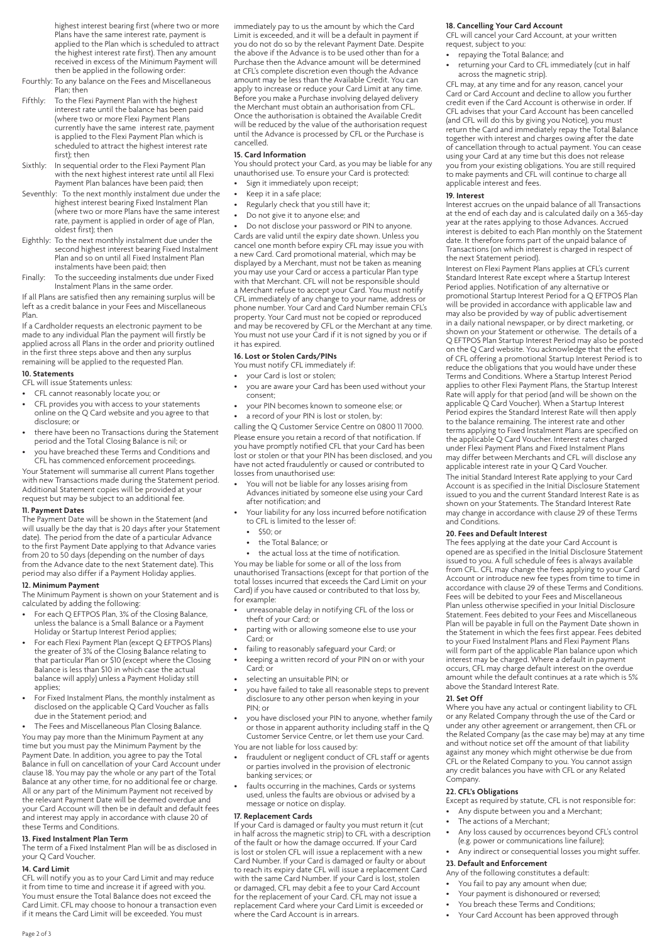highest interest bearing first (where two or more Plans have the same interest rate, payment is applied to the Plan which is scheduled to attract the highest interest rate first). Then any amount received in excess of the Minimum Payment will then be applied in the following order:

- Fourthly: To any balance on the Fees and Miscellaneous Plan; then
- Fifthly: To the Flexi Payment Plan with the highest interest rate until the balance has been paid (where two or more Flexi Payment Plans currently have the same interest rate, payment is applied to the Flexi Payment Plan which is scheduled to attract the highest interest rate first); then
- Sixthly: In sequential order to the Flexi Payment Plan with the next highest interest rate until all Flexi Payment Plan balances have been paid; then
- Seventhly: To the next monthly instalment due under the highest interest bearing Fixed Instalment Plan (where two or more Plans have the same interest rate, payment is applied in order of age of Plan, oldest first); then
- Eighthly: To the next monthly instalment due under the second highest interest bearing Fixed Instalment Plan and so on until all Fixed Instalment Plan instalments have been paid; then
- Finally: To the succeeding instalments due under Fixed Instalment Plans in the same order.

If all Plans are satisfied then any remaining surplus will be left as a credit balance in your Fees and Miscellaneous Plan.

If a Cardholder requests an electronic payment to be made to any individual Plan the payment will firstly be applied across all Plans in the order and priority outlined in the first three steps above and then any surplus remaining will be applied to the requested Plan.

## **10. Statements**

CFL will issue Statements unless:

- CFL cannot reasonably locate you; or
- CFL provides you with access to your statements online on the Q Card website and you agree to that disclosure; or
- there have been no Transactions during the Statement period and the Total Closing Balance is nil; or
- you have breached these Terms and Conditions and CFL has commenced enforcement proceedings.

Your Statement will summarise all current Plans together with new Transactions made during the Statement period. Additional Statement copies will be provided at your request but may be subject to an additional fee.

# **11. Payment Dates**

The Payment Date will be shown in the Statement (and will usually be the day that is 20 days after your Statement date). The period from the date of a particular Advance to the first Payment Date applying to that Advance varies from 20 to 50 days (depending on the number of days from the Advance date to the next Statement date). This period may also differ if a Payment Holiday applies.

## **12. Minimum Payment**

The Minimum Payment is shown on your Statement and is calculated by adding the following:

- For each Q EFTPOS Plan, 3% of the Closing Balance, unless the balance is a Small Balance or a Payment Holiday or Startup Interest Period applies;
- For each Flexi Payment Plan (except Q EFTPOS Plans) the greater of 3% of the Closing Balance relating to that particular Plan or \$10 (except where the Closing Balance is less than \$10 in which case the actual balance will apply) unless a Payment Holiday still applies;
- For Fixed Instalment Plans, the monthly instalment as disclosed on the applicable Q Card Voucher as falls due in the Statement period; and

The Fees and Miscellaneous Plan Closing Balance. You may pay more than the Minimum Payment at any time but you must pay the Minimum Payment by the Payment Date. In addition, you agree to pay the Total Balance in full on cancellation of your Card Account under clause 18. You may pay the whole or any part of the Total Balance at any other time, for no additional fee or charge. All or any part of the Minimum Payment not received by the relevant Payment Date will be deemed overdue and your Card Account will then be in default and default fees and interest may apply in accordance with clause 20 of these Terms and Conditions.

## **13. Fixed Instalment Plan Term**

The term of a Fixed Instalment Plan will be as disclosed in your Q Card Voucher.

# **14. Card Limit**

CFL will notify you as to your Card Limit and may reduce it from time to time and increase it if agreed with you. You must ensure the Total Balance does not exceed the Card Limit. CFL may choose to honour a transaction even if it means the Card Limit will be exceeded. You must

immediately pay to us the amount by which the Card Limit is exceeded, and it will be a default in payment if you do not do so by the relevant Payment Date. Despite the above if the Advance is to be used other than for a Purchase then the Advance amount will be determined at CFL's complete discretion even though the Advance amount may be less than the Available Credit. You can apply to increase or reduce your Card Limit at any time. Before you make a Purchase involving delayed delivery the Merchant must obtain an authorisation from CFL. Once the authorisation is obtained the Available Credit will be reduced by the value of the authorisation request until the Advance is processed by CFL or the Purchase is cancelled.

#### **15. Card Information**

You should protect your Card, as you may be liable for any unauthorised use. To ensure your Card is protected:

- Sign it immediately upon receipt;
- Keep it in a safe place;
- Regularly check that you still have it;
- Do not give it to anyone else; and

• Do not disclose your password or PIN to anyone. Cards are valid until the expiry date shown. Unless you cancel one month before expiry CFL may issue you with a new Card. Card promotional material, which may be displayed by a Merchant, must not be taken as meaning you may use your Card or access a particular Plan type with that Merchant. CFL will not be responsible should a Merchant refuse to accept your Card. You must notify CFL immediately of any change to your name, address or phone number. Your Card and Card Number remain CFL's property. Your Card must not be copied or reproduced and may be recovered by CFL or the Merchant at any time. You must not use your Card if it is not signed by you or if it has expired.

# **16. Lost or Stolen Cards/PINs**

- You must notify CFL immediately if:
- your Card is lost or stolen;
- you are aware your Card has been used without your consent;
- your PIN becomes known to someone else; or
- a record of your PIN is lost or stolen, by:

calling the Q Customer Service Centre on 0800 11 7000. Please ensure you retain a record of that notification. If you have promptly notified CFL that your Card has been lost or stolen or that your PIN has been disclosed, and you have not acted fraudulently or caused or contributed to losses from unauthorised use:

- You will not be liable for any losses arising from Advances initiated by someone else using your Card after notification; and
- Your liability for any loss incurred before notification to CFL is limited to the lesser of:
	- \$50; or
	- the Total Balance; or
- the actual loss at the time of notification.

You may be liable for some or all of the loss from unauthorised Transactions (except for that portion of the total losses incurred that exceeds the Card Limit on your Card) if you have caused or contributed to that loss by, for example:

- unreasonable delay in notifying CFL of the loss or theft of your Card; or
- parting with or allowing someone else to use your .<br>Card: or
- failing to reasonably safeguard your Card; or
- keeping a written record of your PIN on or with your Card; or
- selecting an unsuitable PIN; or
- you have failed to take all reasonable steps to prevent disclosure to any other person when keying in your PIN; or
- you have disclosed your PIN to anyone, whether family or those in apparent authority including staff in the Q Customer Service Centre, or let them use your Card.

You are not liable for loss caused by:

- fraudulent or negligent conduct of CFL staff or agents or parties involved in the provision of electronic banking services; or
- faults occurring in the machines, Cards or systems used, unless the faults are obvious or advised by a message or notice on display.

## **17. Replacement Cards**

If your Card is damaged or faulty you must return it (cut in half across the magnetic strip) to CFL with a description of the fault or how the damage occurred. If your Card is lost or stolen CFL will issue a replacement with a new Card Number. If your Card is damaged or faulty or about to reach its expiry date CFL will issue a replacement Card with the same Card Number. If your Card is lost, stolen or damaged, CFL may debit a fee to your Card Account for the replacement of your Card. CFL may not issue a replacement Card where your Card Limit is exceeded or where the Card Account is in arrears.

## **18. Cancelling Your Card Account**

CFL will cancel your Card Account, at your written request, subject to you:

- repaying the Total Balance; and
- returning your Card to CFL immediately (cut in half across the magnetic strip).

CFL may, at any time and for any reason, cancel your Card or Card Account and decline to allow you further credit even if the Card Account is otherwise in order. If CFL advises that your Card Account has been cancelled (and CFL will do this by giving you Notice), you must return the Card and immediately repay the Total Balance together with interest and charges owing after the date of cancellation through to actual payment. You can cease using your Card at any time but this does not release you from your existing obligations. You are still required to make payments and CFL will continue to charge all applicable interest and fees.

#### **19. Interest**

Interest accrues on the unpaid balance of all Transactions at the end of each day and is calculated daily on a 365-day year at the rates applying to those Advances. Accrued interest is debited to each Plan monthly on the Statement date. It therefore forms part of the unpaid balance of Transactions (on which interest is charged in respect of the next Statement period).

Interest on Flexi Payment Plans applies at CFL's current Standard Interest Rate except where a Startup Interest Period applies. Notification of any alternative or promotional Startup Interest Period for a Q EFTPOS Plan will be provided in accordance with applicable law and may also be provided by way of public advertisement in a daily national newspaper, or by direct marketing, or shown on your Statement or otherwise. The details of a Q EFTPOS Plan Startup Interest Period may also be posted on the Q Card website. You acknowledge that the effect of CFL offering a promotional Startup Interest Period is to reduce the obligations that you would have under these Terms and Conditions. Where a Startup Interest Period applies to other Flexi Payment Plans, the Startup Interest Rate will apply for that period (and will be shown on the applicable Q Card Voucher). When a Startup Interest Period expires the Standard Interest Rate will then apply to the balance remaining. The interest rate and other terms applying to Fixed Instalment Plans are specified on the applicable Q Card Voucher. Interest rates charged under Flexi Payment Plans and Fixed Instalment Plans may differ between Merchants and CFL will disclose any applicable interest rate in your Q Card Voucher.

The initial Standard Interest Rate applying to your Card Account is as specified in the Initial Disclosure Statement issued to you and the current Standard Interest Rate is as shown on your Statements. The Standard Interest Rate may change in accordance with clause 29 of these Terms and Conditions.

## **20. Fees and Default Interest**

The fees applying at the date your Card Account is opened are as specified in the Initial Disclosure Statement issued to you. A full schedule of fees is always available from CFL. CFL may change the fees applying to your Card Account or introduce new fee types from time to time in accordance with clause 29 of these Terms and Conditions. Fees will be debited to your Fees and Miscellaneous Plan unless otherwise specified in your Initial Disclosure Statement. Fees debited to your Fees and Miscellaneous Plan will be payable in full on the Payment Date shown in the Statement in which the fees first appear. Fees debited to your Fixed Instalment Plans and Flexi Payment Plans will form part of the applicable Plan balance upon which interest may be charged. Where a default in payment occurs, CFL may charge default interest on the overdue amount while the default continues at a rate which is 5% above the Standard Interest Rate.

## **21. Set Off**

Where you have any actual or contingent liability to CFL or any Related Company through the use of the Card or under any other agreement or arrangement, then CFL or the Related Company (as the case may be) may at any time and without notice set off the amount of that liability against any money which might otherwise be due from CFL or the Related Company to you. You cannot assign any credit balances you have with CFL or any Related Company.

# **22. CFL's Obligations**

Except as required by statute, CFL is not responsible for:

- Any dispute between you and a Merchant;
- The actions of a Merchant;
	- Any loss caused by occurrences beyond CFL's control (e.g. power or communications line failure);
	- Any indirect or consequential losses you might suffer.

# **23. Default and Enforcement**

- Any of the following constitutes a default:
- You fail to pay any amount when due;
- Your payment is dishonoured or reversed;
- You breach these Terms and Conditions;
- Your Card Account has been approved through